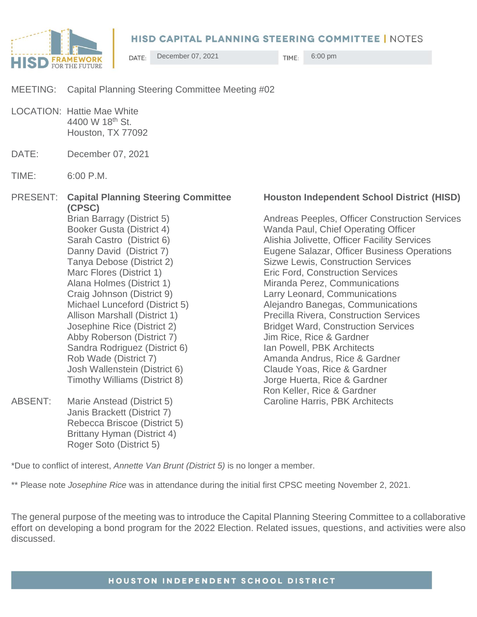

December 07, 2021 TIME: 6:00 pm DATE:

MEETING: Capital Planning Steering Committee Meeting #02

LOCATION: Hattie Mae White 4400 W 18th St. Houston, TX 77092

- DATE: December 07, 2021
- TIME: 6:00 P.M.

**(CPSC)** Booker Gusta (District 4) Wanda Paul, Chief Operating Officer Tanya Debose (District 2) Sizwe Lewis, Construction Services Marc Flores (District 1) The Eric Ford, Construction Services Alana Holmes (District 1) Miranda Perez, Communications Craig Johnson (District 9) Larry Leonard, Communications Michael Lunceford (District 5) Alejandro Banegas, Communications Allison Marshall (District 1) Precilla Rivera, Construction Services Josephine Rice (District 2) Bridget Ward, Construction Services Abby Roberson (District 7) Jim Rice, Rice & Gardner Sandra Rodriguez (District 6) Ian Powell, PBK Architects Rob Wade (District 7) Amanda Andrus, Rice & Gardner Josh Wallenstein (District 6) Claude Yoas, Rice & Gardner Timothy Williams (District 8) Jorge Huerta, Rice & Gardner ABSENT: Marie Anstead (District 5) Caroline Harris, PBK Architects Janis Brackett (District 7) Rebecca Briscoe (District 5)

> Brittany Hyman (District 4) Roger Soto (District 5)

## PRESENT: **Capital Planning Steering Committee Houston Independent School District (HISD)**

Brian Barragy (District 5) Andreas Peeples, Officer Construction Services Sarah Castro (District 6) Alishia Jolivette, Officer Facility Services Danny David (District 7) Eugene Salazar, Officer Business Operations Ron Keller, Rice & Gardner

\*Due to conflict of interest, *Annette Van Brunt (District 5)* is no longer a member.

\*\* Please note *Josephine Rice* was in attendance during the initial first CPSC meeting November 2, 2021.

The general purpose of the meeting was to introduce the Capital Planning Steering Committee to a collaborative effort on developing a bond program for the 2022 Election. Related issues, questions, and activities were also discussed.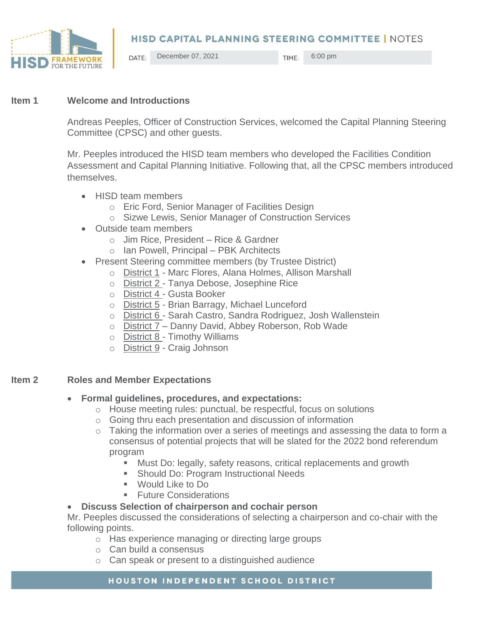

December 07, 2021 TIME: 6:00 pm DATE:

### **Item 1 Welcome and Introductions**

Andreas Peeples, Officer of Construction Services, welcomed the Capital Planning Steering Committee (CPSC) and other guests.

Mr. Peeples introduced the HISD team members who developed the Facilities Condition Assessment and Capital Planning Initiative. Following that, all the CPSC members introduced themselves.

- HISD team members
	- o Eric Ford, Senior Manager of Facilities Design
	- o Sizwe Lewis, Senior Manager of Construction Services
- Outside team members
	- o Jim Rice, President Rice & Gardner
	- o Ian Powell, Principal PBK Architects
- Present Steering committee members (by Trustee District)
	- o District 1 Marc Flores, Alana Holmes, Allison Marshall
	- o **District 2** Tanya Debose, Josephine Rice
	- o District 4 Gusta Booker
	- o District 5 Brian Barragy, Michael Lunceford
	- o District 6 Sarah Castro, Sandra Rodriguez, Josh Wallenstein
	- o District 7 Danny David, Abbey Roberson, Rob Wade
	- o District 8 Timothy Williams
	- o District 9 Craig Johnson

## **Item 2 Roles and Member Expectations**

- **Formal guidelines, procedures, and expectations:** 
	- o House meeting rules: punctual, be respectful, focus on solutions
	- o Going thru each presentation and discussion of information
	- o Taking the information over a series of meetings and assessing the data to form a consensus of potential projects that will be slated for the 2022 bond referendum program
		- Must Do: legally, safety reasons, critical replacements and growth
		- Should Do: Program Instructional Needs
		- Would Like to Do
		- **Euture Considerations**

## • **Discuss Selection of chairperson and cochair person**

Mr. Peeples discussed the considerations of selecting a chairperson and co-chair with the following points.

- o Has experience managing or directing large groups
- o Can build a consensus
- o Can speak or present to a distinguished audience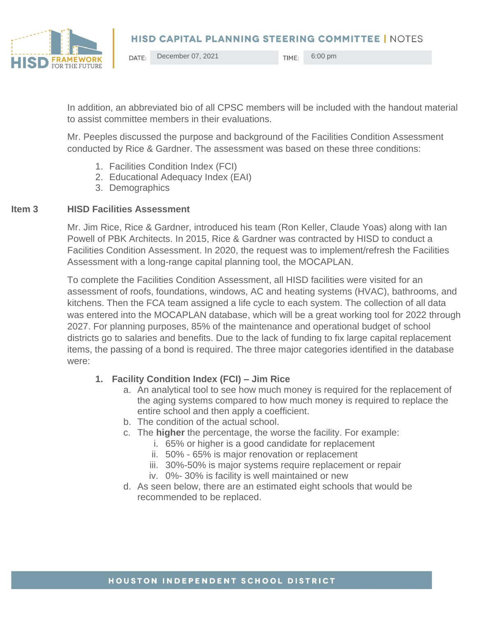

December 07, 2021 TIME: 6:00 pm DATE:

In addition, an abbreviated bio of all CPSC members will be included with the handout material to assist committee members in their evaluations.

Mr. Peeples discussed the purpose and background of the Facilities Condition Assessment conducted by Rice & Gardner. The assessment was based on these three conditions:

- 1. Facilities Condition Index (FCI)
- 2. Educational Adequacy Index (EAI)
- 3. Demographics

#### **Item 3 HISD Facilities Assessment**

Mr. Jim Rice, Rice & Gardner, introduced his team (Ron Keller, Claude Yoas) along with Ian Powell of PBK Architects. In 2015, Rice & Gardner was contracted by HISD to conduct a Facilities Condition Assessment. In 2020, the request was to implement/refresh the Facilities Assessment with a long-range capital planning tool, the MOCAPLAN.

To complete the Facilities Condition Assessment, all HISD facilities were visited for an assessment of roofs, foundations, windows, AC and heating systems (HVAC), bathrooms, and kitchens. Then the FCA team assigned a life cycle to each system. The collection of all data was entered into the MOCAPLAN database, which will be a great working tool for 2022 through 2027. For planning purposes, 85% of the maintenance and operational budget of school districts go to salaries and benefits. Due to the lack of funding to fix large capital replacement items, the passing of a bond is required. The three major categories identified in the database were:

## **1. Facility Condition Index (FCI) – Jim Rice**

- a. An analytical tool to see how much money is required for the replacement of the aging systems compared to how much money is required to replace the entire school and then apply a coefficient.
- b. The condition of the actual school.
- c. The **higher** the percentage, the worse the facility. For example:
	- i. 65% or higher is a good candidate for replacement
	- ii. 50% 65% is major renovation or replacement
	- iii. 30%-50% is major systems require replacement or repair
	- iv. 0%- 30% is facility is well maintained or new
- d. As seen below, there are an estimated eight schools that would be recommended to be replaced.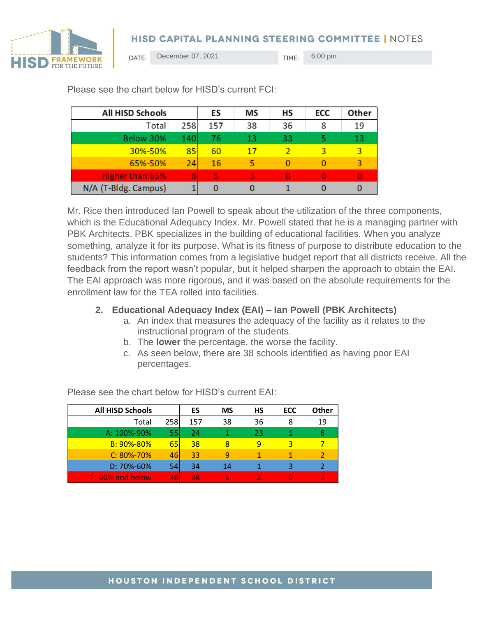



December 07, 2021 TIME: 6:00 pm DATE:

| All HISD Schools     |     | ES  | ΜS | НS | ECC | Other |
|----------------------|-----|-----|----|----|-----|-------|
| Total                | 258 | 157 | 38 | 36 | 8   | 19    |
| Below 30%            | 140 | 76  | 13 | 33 |     | 13    |
| 30%-50%              | 85  | 60  | 17 |    |     | 3     |
| 65%-50%              | 24  | 16  | 5  | O  |     | 3     |
| Higher than 65%      | RI. | 5   | 3  | O  |     | O     |
| N/A (T-Bldg. Campus) |     | 0   |    |    |     |       |

Please see the chart below for HISD's current FCI:

Mr. Rice then introduced Ian Powell to speak about the utilization of the three components, which is the Educational Adequacy Index. Mr. Powell stated that he is a managing partner with PBK Architects. PBK specializes in the building of educational facilities. When you analyze something, analyze it for its purpose. What is its fitness of purpose to distribute education to the students? This information comes from a legislative budget report that all districts receive. All the feedback from the report wasn't popular, but it helped sharpen the approach to obtain the EAI. The EAI approach was more rigorous, and it was based on the absolute requirements for the enrollment law for the TEA rolled into facilities.

## **2. Educational Adequacy Index (EAI) – Ian Powell (PBK Architects)**

- a. An index that measures the adequacy of the facility as it relates to the instructional program of the students.
- b. The **lower** the percentage, the worse the facility.
- c. As seen below, there are 38 schools identified as having poor EAI percentages.

| <b>All HISD Schools</b> |     | ES  | <b>MS</b> | НS | ECC | Other |
|-------------------------|-----|-----|-----------|----|-----|-------|
| Total                   | 258 | 157 | 38        | 36 | 8   | 19    |
| A: 100%-90%             | 55  | 24  |           | 23 |     | 6     |
| B: 90%-80%              | 651 | 38  | 8         | q  | 3   |       |
| $C: 80\% - 70\%$        | 46  | 33  | q         |    |     |       |
| D: 70%-60%              | 54  | 34  | 14        |    | ₹   |       |
| F: 60% and below        | 381 | 28  |           |    |     |       |

Please see the chart below for HISD's current EAI: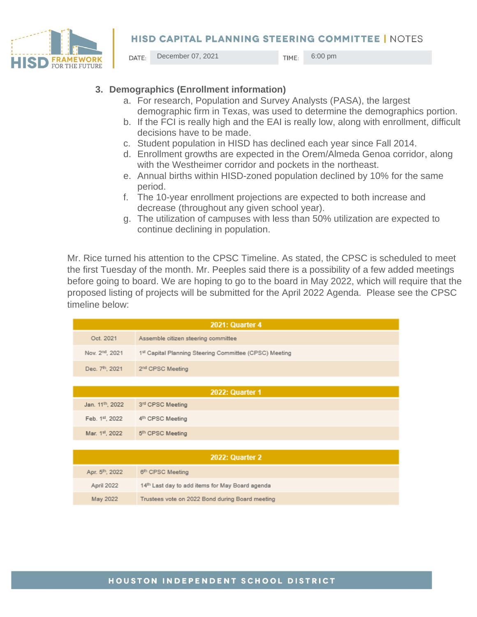

December 07, 2021 TIME: 6:00 pm DATE:

- **3. Demographics (Enrollment information)**
	- a. For research, Population and Survey Analysts (PASA), the largest demographic firm in Texas, was used to determine the demographics portion.
	- b. If the FCI is really high and the EAI is really low, along with enrollment, difficult decisions have to be made.
	- c. Student population in HISD has declined each year since Fall 2014.
	- d. Enrollment growths are expected in the Orem/Almeda Genoa corridor, along with the Westheimer corridor and pockets in the northeast.
	- e. Annual births within HISD-zoned population declined by 10% for the same period.
	- f. The 10-year enrollment projections are expected to both increase and decrease (throughout any given school year).
	- g. The utilization of campuses with less than 50% utilization are expected to continue declining in population.

Mr. Rice turned his attention to the CPSC Timeline. As stated, the CPSC is scheduled to meet the first Tuesday of the month. Mr. Peeples said there is a possibility of a few added meetings before going to board. We are hoping to go to the board in May 2022, which will require that the proposed listing of projects will be submitted for the April 2022 Agenda. Please see the CPSC timeline below:

| <b>2021: Quarter 4</b>       |                                                        |  |  |
|------------------------------|--------------------------------------------------------|--|--|
| Oct. 2021                    | Assemble citizen steering committee                    |  |  |
| Nov. 2 <sup>nd</sup> , 2021  | 1st Capital Planning Steering Committee (CPSC) Meeting |  |  |
| Dec. 7 <sup>th</sup> , 2021  | 2 <sup>nd</sup> CPSC Meeting                           |  |  |
|                              |                                                        |  |  |
| 2022: Quarter 1              |                                                        |  |  |
| Jan. 11 <sup>th</sup> , 2022 | 3 <sup>rd</sup> CPSC Meeting                           |  |  |
| Feb. 1st, 2022               | 4 <sup>th</sup> CPSC Meeting                           |  |  |
| Mar. 1st, 2022               | 5 <sup>th</sup> CPSC Meeting                           |  |  |
|                              |                                                        |  |  |
| <b>2022: Quarter 2</b>       |                                                        |  |  |
| Apr. 5th, 2022               | 6 <sup>th</sup> CPSC Meeting                           |  |  |
| April 2022                   | 14th Last day to add items for May Board agenda        |  |  |
| May 2022                     | Trustees vote on 2022 Bond during Board meeting        |  |  |

## HOUSTON INDEPENDENT SCHOOL DISTRICT